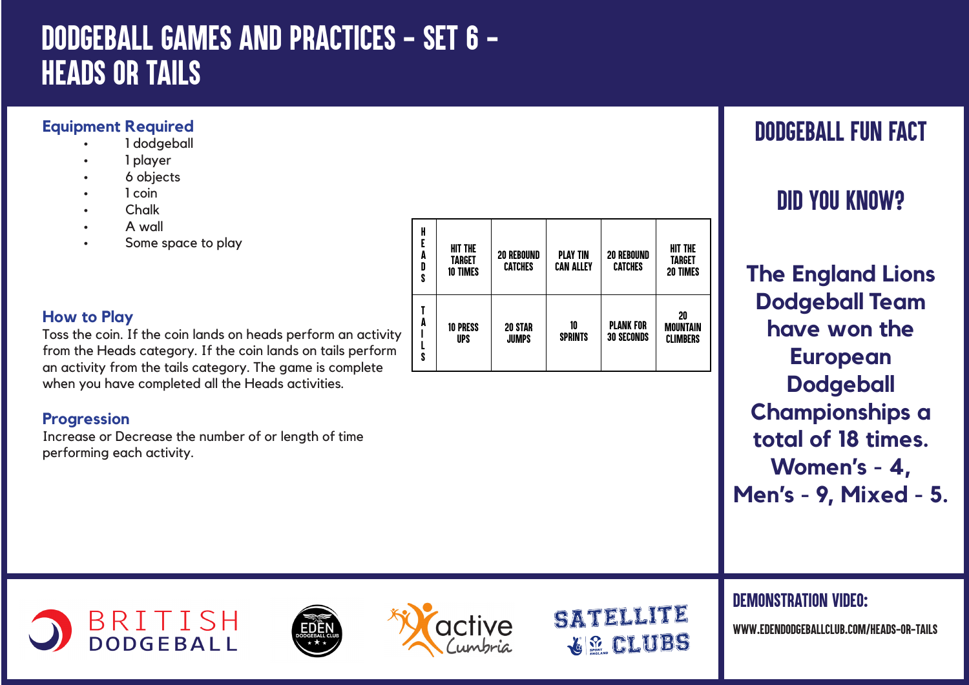# *DODGEBALL GAMES AND PRACTICES - SET 6 - HEADS OR TAILS*

#### **Equipment Required**

- 1 dodgeball
- 1 player
- 6 objects
- 1 coin
- Chalk
- A wall
- Some space to play

### **How to Play**

Toss the coin. If the coin lands on heads perform an activity from the Heads category. If the coin lands on tails perform an activity from the tails category. The game is complete when you have completed all the Heads activities.

### **Progression**

Increase or Decrease the number of or length of time performing each activity.

| H<br>E<br>A<br>D<br>S | <b>HIT THE</b><br>TARGET<br><b>10 TIMES</b> | <b>20 REBOUND</b><br><b>CATCHES</b> | <b>PLAY TIN</b><br><b>CAN ALLEY</b> | <b>20 REBOUND</b><br><b>CATCHES</b>   | <b>HIT THE</b><br>TARGET<br><b>20 TIMES</b> |
|-----------------------|---------------------------------------------|-------------------------------------|-------------------------------------|---------------------------------------|---------------------------------------------|
| A                     | <b>10 PRESS</b><br><b>UPS</b>               | <b>20 STAR</b><br><b>JUMPS</b>      | 10<br><b>SPRINTS</b>                | <b>PLANK FOR</b><br><b>30 SECONDS</b> | 20<br><b>MOUNTAIN</b><br><b>CLIMBERS</b>    |

# *DODGEBALL FUN FACT*

# *DID YOU KNOW?*

**The England Lions Dodgeball Team have won the European Dodgeball Championships a total of 18 times. Women's - 4, Men's - 9, Mixed - 5.** 

### *DEMONSTRATION VIDEO:*

*www.edendodgeballclub.com/HEADS-OR-TAILS*







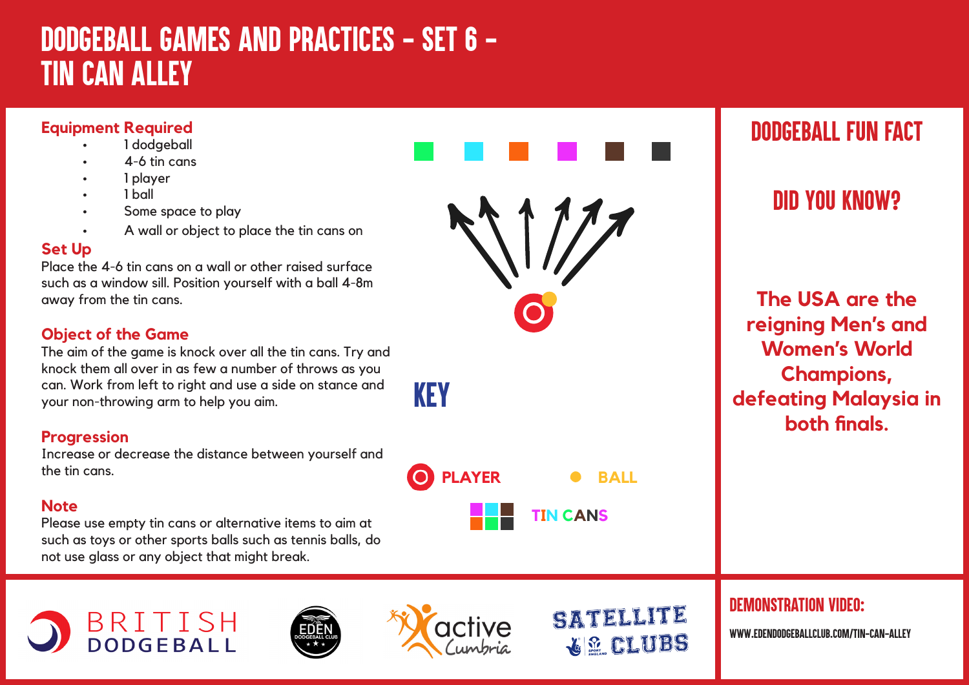# *DODGEBALL GAMES AND PRACTICES - SET 6 - Tin Can Alley*

### **Equipment Required**

- 1 dodgeball
- $4-6$  tin cans
- 1 player
- 1 ball
- Some space to play
- A wall or object to place the tin cans on

#### **Set Up**

Place the 4-6 tin cans on a wall or other raised surface such as a window sill. Position yourself with a ball 4-8m away from the tin cans.

### **Object of the Game**

The aim of the game is knock over all the tin cans. Try and knock them all over in as few a number of throws as you can. Work from left to right and use a side on stance and your non-throwing arm to help you aim.

#### **Progression**

Increase or decrease the distance between yourself and the tin cans.

#### **Note**

Please use empty tin cans or alternative items to aim at such as toys or other sports balls such as tennis balls, do not use glass or any object that might break.

BRITISH<br>DODGEBALL



## *DODGEBALL FUN FACT*

## *DID YOU KNOW?*

**The USA are the reigning Men's and Women's World Champions, defeating Malaysia in both finals.**



SATELLITE

**GE CLUBS** 

**KEY** 

*DEMONSTRATION VIDEO:*

*www.edendodgeballclub.com/tin-can-alley*